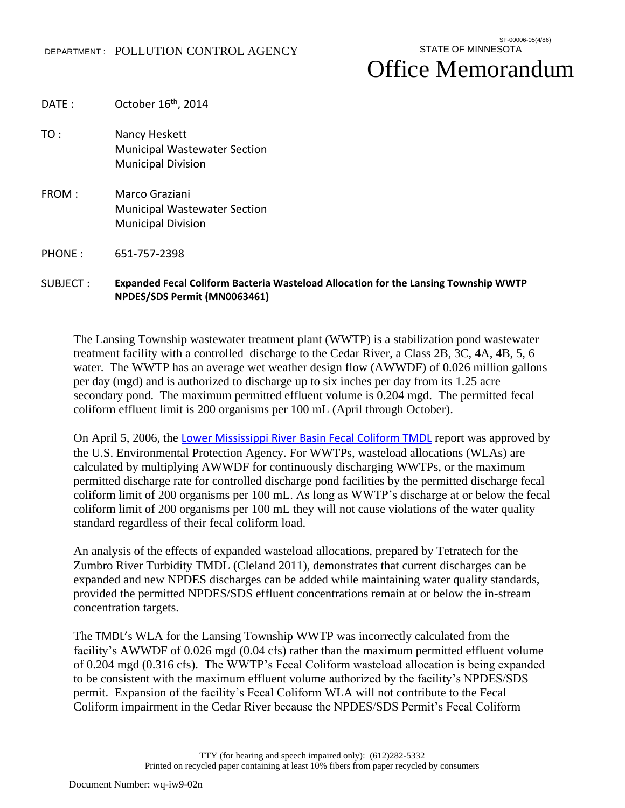## Office Memorandum

- DATE : October 16<sup>th</sup>, 2014 TO : Nancy Heskett Municipal Wastewater Section Municipal Division FROM : Marco Graziani Municipal Wastewater Section Municipal Division
- PHONE : 651-757-2398

## SUBJECT : **Expanded Fecal Coliform Bacteria Wasteload Allocation for the Lansing Township WWTP NPDES/SDS Permit (MN0063461)**

The Lansing Township wastewater treatment plant (WWTP) is a stabilization pond wastewater treatment facility with a controlled discharge to the Cedar River, a Class 2B, 3C, 4A, 4B, 5, 6 water. The WWTP has an average wet weather design flow (AWWDF) of 0.026 million gallons per day (mgd) and is authorized to discharge up to six inches per day from its 1.25 acre secondary pond. The maximum permitted effluent volume is 0.204 mgd. The permitted fecal coliform effluent limit is 200 organisms per 100 mL (April through October).

On April 5, 2006, the [Lower Mississippi River Basin Fecal Coliform TMDL](http://www.pca.state.mn.us/index.php/water/water-types-and-programs/minnesotas-impaired-waters-and-tmdls/tmdl-projects/lower-mississippi-river-basin-tmdl/project-lower-mississippi-river-basin-regional-fecal-coliform.html) report was approved by the U.S. Environmental Protection Agency. For WWTPs, wasteload allocations (WLAs) are calculated by multiplying AWWDF for continuously discharging WWTPs, or the maximum permitted discharge rate for controlled discharge pond facilities by the permitted discharge fecal coliform limit of 200 organisms per 100 mL. As long as WWTP's discharge at or below the fecal coliform limit of 200 organisms per 100 mL they will not cause violations of the water quality standard regardless of their fecal coliform load.

An analysis of the effects of expanded wasteload allocations, prepared by Tetratech for the Zumbro River Turbidity TMDL (Cleland 2011), demonstrates that current discharges can be expanded and new NPDES discharges can be added while maintaining water quality standards, provided the permitted NPDES/SDS effluent concentrations remain at or below the in-stream concentration targets.

The TMDL's WLA for the Lansing Township WWTP was incorrectly calculated from the facility's AWWDF of 0.026 mgd (0.04 cfs) rather than the maximum permitted effluent volume of 0.204 mgd (0.316 cfs). The WWTP's Fecal Coliform wasteload allocation is being expanded to be consistent with the maximum effluent volume authorized by the facility's NPDES/SDS permit. Expansion of the facility's Fecal Coliform WLA will not contribute to the Fecal Coliform impairment in the Cedar River because the NPDES/SDS Permit's Fecal Coliform